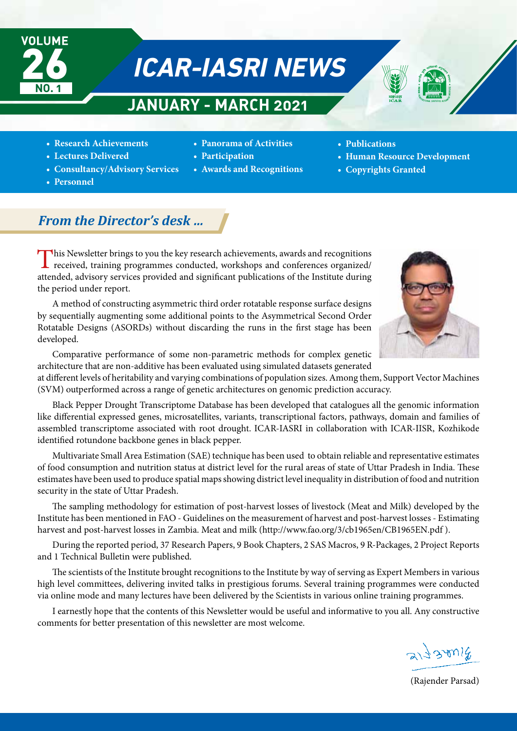

# **ICAR-IASRI NEWS**

## **January - March 2021**



- **Panorama of Activities**
- **Lectures Delivered**
- **Consultancy/Advisory Services**
- **Personnel**
- **Participation**
- 
- **Awards and Recognitions**
- **Publications**
- **Human Resource Development**
- **Copyrights Granted**

## *From the Director's desk …*

This Newsletter brings to you the key research achievements, awards and recognitions received, training programmes conducted, workshops and conferences organized/ attended, advisory services provided and significant publications of the Institute during the period under report.

A method of constructing asymmetric third order rotatable response surface designs by sequentially augmenting some additional points to the Asymmetrical Second Order Rotatable Designs (ASORDs) without discarding the runs in the first stage has been developed.

Comparative performance of some non-parametric methods for complex genetic architecture that are non-additive has been evaluated using simulated datasets generated

at different levels of heritability and varying combinations of population sizes. Among them, Support Vector Machines (SVM) outperformed across a range of genetic architectures on genomic prediction accuracy.

Black Pepper Drought Transcriptome Database has been developed that catalogues all the genomic information like differential expressed genes, microsatellites, variants, transcriptional factors, pathways, domain and families of assembled transcriptome associated with root drought. ICAR-IASRI in collaboration with ICAR-IISR, Kozhikode identified rotundone backbone genes in black pepper.

Multivariate Small Area Estimation (SAE) technique has been used to obtain reliable and representative estimates of food consumption and nutrition status at district level for the rural areas of state of Uttar Pradesh in India. These estimates have been used to produce spatial maps showing district level inequality in distribution of food and nutrition security in the state of Uttar Pradesh.

The sampling methodology for estimation of post-harvest losses of livestock (Meat and Milk) developed by the Institute has been mentioned in FAO - Guidelines on the measurement of harvest and post-harvest losses - Estimating harvest and post-harvest losses in Zambia. Meat and milk (http://www.fao.org/3/cb1965en/CB1965EN.pdf ).

During the reported period, 37 Research Papers, 9 Book Chapters, 2 SAS Macros, 9 R-Packages, 2 Project Reports and 1 Technical Bulletin were published.

The scientists of the Institute brought recognitions to the Institute by way of serving as Expert Members in various high level committees, delivering invited talks in prestigious forums. Several training programmes were conducted via online mode and many lectures have been delivered by the Scientists in various online training programmes.

I earnestly hope that the contents of this Newsletter would be useful and informative to you all. Any constructive comments for better presentation of this newsletter are most welcome.



(Rajender Parsad)

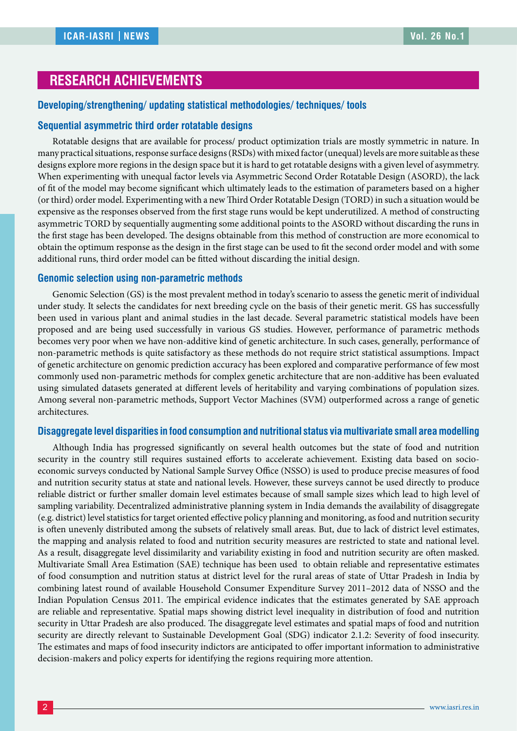## **RESEARCH ACHIEVEMENTS**

#### **Developing/strengthening/ updating statistical methodologies/ techniques/ tools**

#### **Sequential asymmetric third order rotatable designs**

Rotatable designs that are available for process/ product optimization trials are mostly symmetric in nature. In many practical situations, response surface designs (RSDs) with mixed factor (unequal) levels are more suitable as these designs explore more regions in the design space but it is hard to get rotatable designs with a given level of asymmetry. When experimenting with unequal factor levels via Asymmetric Second Order Rotatable Design (ASORD), the lack of fit of the model may become significant which ultimately leads to the estimation of parameters based on a higher (or third) order model. Experimenting with a new Third Order Rotatable Design (TORD) in such a situation would be expensive as the responses observed from the first stage runs would be kept underutilized. A method of constructing asymmetric TORD by sequentially augmenting some additional points to the ASORD without discarding the runs in the first stage has been developed. The designs obtainable from this method of construction are more economical to obtain the optimum response as the design in the first stage can be used to fit the second order model and with some additional runs, third order model can be fitted without discarding the initial design.

#### **Genomic selection using non-parametric methods**

Genomic Selection (GS) is the most prevalent method in today's scenario to assess the genetic merit of individual under study. It selects the candidates for next breeding cycle on the basis of their genetic merit. GS has successfully been used in various plant and animal studies in the last decade. Several parametric statistical models have been proposed and are being used successfully in various GS studies. However, performance of parametric methods becomes very poor when we have non-additive kind of genetic architecture. In such cases, generally, performance of non-parametric methods is quite satisfactory as these methods do not require strict statistical assumptions. Impact of genetic architecture on genomic prediction accuracy has been explored and comparative performance of few most commonly used non-parametric methods for complex genetic architecture that are non-additive has been evaluated using simulated datasets generated at different levels of heritability and varying combinations of population sizes. Among several non-parametric methods, Support Vector Machines (SVM) outperformed across a range of genetic architectures.

#### **Disaggregate level disparities in food consumption and nutritional status via multivariate small area modelling**

Although India has progressed significantly on several health outcomes but the state of food and nutrition security in the country still requires sustained efforts to accelerate achievement. Existing data based on socioeconomic surveys conducted by National Sample Survey Office (NSSO) is used to produce precise measures of food and nutrition security status at state and national levels. However, these surveys cannot be used directly to produce reliable district or further smaller domain level estimates because of small sample sizes which lead to high level of sampling variability. Decentralized administrative planning system in India demands the availability of disaggregate (e.g. district) level statistics for target oriented effective policy planning and monitoring, as food and nutrition security is often unevenly distributed among the subsets of relatively small areas. But, due to lack of district level estimates, the mapping and analysis related to food and nutrition security measures are restricted to state and national level. As a result, disaggregate level dissimilarity and variability existing in food and nutrition security are often masked. Multivariate Small Area Estimation (SAE) technique has been used to obtain reliable and representative estimates of food consumption and nutrition status at district level for the rural areas of state of Uttar Pradesh in India by combining latest round of available Household Consumer Expenditure Survey 2011–2012 data of NSSO and the Indian Population Census 2011. The empirical evidence indicates that the estimates generated by SAE approach are reliable and representative. Spatial maps showing district level inequality in distribution of food and nutrition security in Uttar Pradesh are also produced. The disaggregate level estimates and spatial maps of food and nutrition security are directly relevant to Sustainable Development Goal (SDG) indicator 2.1.2: Severity of food insecurity. The estimates and maps of food insecurity indictors are anticipated to offer important information to administrative decision-makers and policy experts for identifying the regions requiring more attention.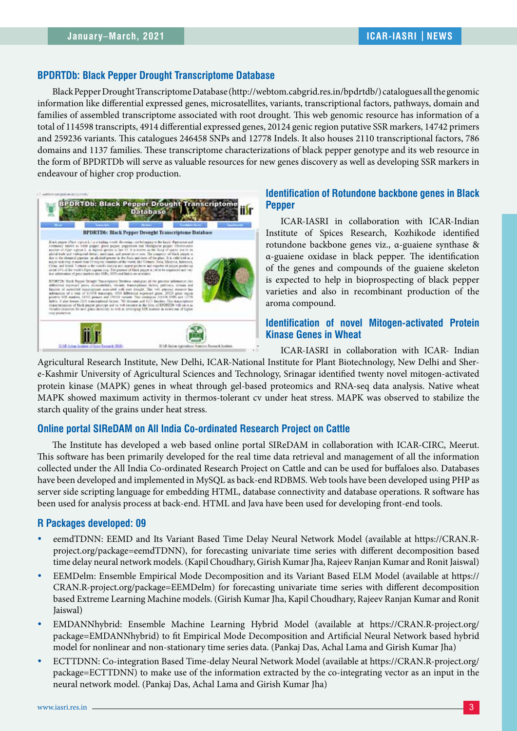#### **BPDRTDb: Black Pepper Drought Transcriptome Database**

Black Pepper Drought Transcriptome Database (http://webtom.cabgrid.res.in/bpdrtdb/) catalogues all the genomic information like differential expressed genes, microsatellites, variants, transcriptional factors, pathways, domain and families of assembled transcriptome associated with root drought. This web genomic resource has information of a total of 114598 transcripts, 4914 differential expressed genes, 20124 genic region putative SSR markers, 14742 primers and 259236 variants. This catalogues 246458 SNPs and 12778 Indels. It also houses 2110 transcriptional factors, 786 domains and 1137 families. These transcriptome characterizations of black pepper genotype and its web resource in the form of BPDRTDb will serve as valuable resources for new genes discovery as well as developing SSR markers in endeavour of higher crop production.



#### **Identification of Rotundone backbone genes in Black Pepper**

ICAR-IASRI in collaboration with ICAR-Indian Institute of Spices Research, Kozhikode identified rotundone backbone genes viz., α-guaiene synthase & α-guaiene oxidase in black pepper. The identification of the genes and compounds of the guaiene skeleton is expected to help in bioprospecting of black pepper varieties and also in recombinant production of the aroma compound.

#### **Identification of novel Mitogen-activated Protein Kinase Genes in Wheat**

ICAR-IASRI in collaboration with ICAR- Indian

Agricultural Research Institute, New Delhi, ICAR-National Institute for Plant Biotechnology, New Delhi and Shere-Kashmir University of Agricultural Sciences and Technology, Srinagar identified twenty novel mitogen-activated protein kinase (MAPK) genes in wheat through gel-based proteomics and RNA-seq data analysis. Native wheat MAPK showed maximum activity in thermos-tolerant cv under heat stress. MAPK was observed to stabilize the starch quality of the grains under heat stress.

#### **Online portal SIReDAM on All India Co-ordinated Research Project on Cattle**

The Institute has developed a web based online portal SIReDAM in collaboration with ICAR-CIRC, Meerut. This software has been primarily developed for the real time data retrieval and management of all the information collected under the All India Co-ordinated Research Project on Cattle and can be used for buffaloes also. Databases have been developed and implemented in MySQL as back-end RDBMS. Web tools have been developed using PHP as server side scripting language for embedding HTML, database connectivity and database operations. R software has been used for analysis process at back-end. HTML and Java have been used for developing front-end tools.

#### **R Packages developed: 09**

- eemdTDNN: EEMD and Its Variant Based Time Delay Neural Network Model (available at https://CRAN.Rproject.org/package=eemdTDNN), for forecasting univariate time series with different decomposition based time delay neural network models. (Kapil Choudhary, Girish Kumar Jha, Rajeev Ranjan Kumar and Ronit Jaiswal)
- y EEMDelm: Ensemble Empirical Mode Decomposition and its Variant Based ELM Model (available at https:// CRAN.R-project.org/package=EEMDelm) for forecasting univariate time series with different decomposition based Extreme Learning Machine models. (Girish Kumar Jha, Kapil Choudhary, Rajeev Ranjan Kumar and Ronit Jaiswal)
- y EMDANNhybrid: Ensemble Machine Learning Hybrid Model (available at https://CRAN.R-project.org/ package=EMDANNhybrid) to fit Empirical Mode Decomposition and Artificial Neural Network based hybrid model for nonlinear and non-stationary time series data. (Pankaj Das, Achal Lama and Girish Kumar Jha)
- y ECTTDNN: Co-integration Based Time-delay Neural Network Model (available at https://CRAN.R-project.org/ package=ECTTDNN) to make use of the information extracted by the co-integrating vector as an input in the neural network model. (Pankaj Das, Achal Lama and Girish Kumar Jha)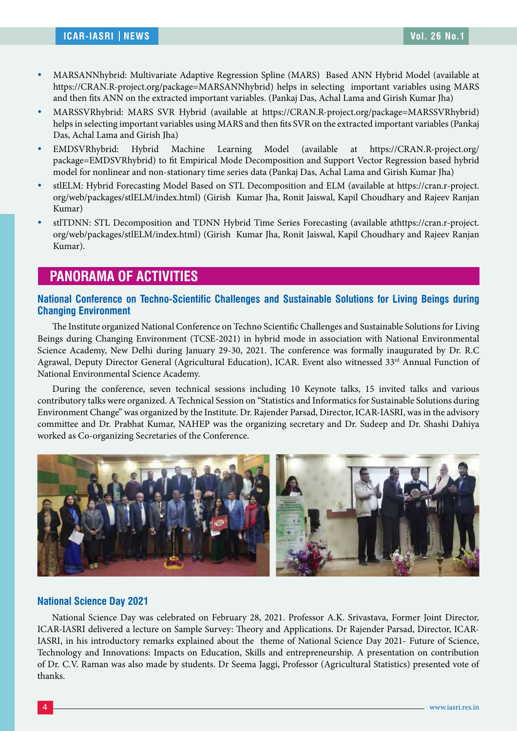- y MARSANNhybrid: Multivariate Adaptive Regression Spline (MARS) Based ANN Hybrid Model (available at https://CRAN.R-project.org/package=MARSANNhybrid) helps in selecting important variables using MARS and then fits ANN on the extracted important variables. (Pankaj Das, Achal Lama and Girish Kumar Jha)
- MARSSVRhybrid: MARS SVR Hybrid (available at https://CRAN.R-project.org/package=MARSSVRhybrid) helps in selecting important variables using MARS and then fits SVR on the extracted important variables (Pankaj Das, Achal Lama and Girish Jha)
- y EMDSVRhybrid: Hybrid Machine Learning Model (available at https://CRAN.R-project.org/ package=EMDSVRhybrid) to fit Empirical Mode Decomposition and Support Vector Regression based hybrid model for nonlinear and non-stationary time series data (Pankaj Das, Achal Lama and Girish Kumar Jha)
- y stlELM: Hybrid Forecasting Model Based on STL Decomposition and ELM (available at https://cran.r-project. org/web/packages/stlELM/index.html) (Girish Kumar Jha, Ronit Jaiswal, Kapil Choudhary and Rajeev Ranjan Kumar)
- stlTDNN: STL Decomposition and TDNN Hybrid Time Series Forecasting (available athttps://cran.r-project. org/web/packages/stlELM/index.html) (Girish Kumar Jha, Ronit Jaiswal, Kapil Choudhary and Rajeev Ranjan Kumar).

## **PANORAMA OF ACTIVITIES**

#### **National Conference on Techno-Scientific Challenges and Sustainable Solutions for Living Beings during Changing Environment**

The Institute organized National Conference on Techno Scientific Challenges and Sustainable Solutions for Living Beings during Changing Environment (TCSE-2021) in hybrid mode in association with National Environmental Science Academy, New Delhi during January 29-30, 2021. The conference was formally inaugurated by Dr. R.C Agrawal, Deputy Director General (Agricultural Education), ICAR. Event also witnessed 33<sup>rd</sup> Annual Function of National Environmental Science Academy.

During the conference, seven technical sessions including 10 Keynote talks, 15 invited talks and various contributory talks were organized. A Technical Session on "Statistics and Informatics for Sustainable Solutions during Environment Change" was organized by the Institute. Dr. Rajender Parsad, Director, ICAR-IASRI, was in the advisory committee and Dr. Prabhat Kumar, NAHEP was the organizing secretary and Dr. Sudeep and Dr. Shashi Dahiya worked as Co-organizing Secretaries of the Conference.



#### **National Science Day 2021**

National Science Day was celebrated on February 28, 2021. Professor A.K. Srivastava, Former Joint Director, ICAR-IASRI delivered a lecture on Sample Survey: Theory and Applications. Dr Rajender Parsad, Director, ICAR-IASRI, in his introductory remarks explained about the theme of National Science Day 2021- Future of Science, Technology and Innovations: Impacts on Education, Skills and entrepreneurship. A presentation on contribution of Dr. C.V. Raman was also made by students. Dr Seema Jaggi, Professor (Agricultural Statistics) presented vote of thanks.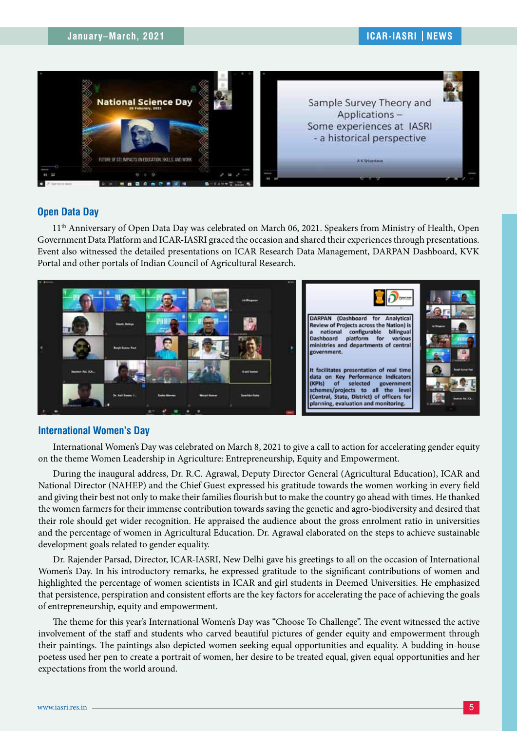

#### **Open Data Day**

11th Anniversary of Open Data Day was celebrated on March 06, 2021. Speakers from Ministry of Health, Open Government Data Platform and ICAR-IASRI graced the occasion and shared their experiences through presentations. Event also witnessed the detailed presentations on ICAR Research Data Management, DARPAN Dashboard, KVK Portal and other portals of Indian Council of Agricultural Research.



#### **International Women's Day**

International Women's Day was celebrated on March 8, 2021 to give a call to action for accelerating gender equity on the theme Women Leadership in Agriculture: Entrepreneurship, Equity and Empowerment.

During the inaugural address, Dr. R.C. Agrawal, Deputy Director General (Agricultural Education), ICAR and National Director (NAHEP) and the Chief Guest expressed his gratitude towards the women working in every field and giving their best not only to make their families flourish but to make the country go ahead with times. He thanked the women farmers for their immense contribution towards saving the genetic and agro-biodiversity and desired that their role should get wider recognition. He appraised the audience about the gross enrolment ratio in universities and the percentage of women in Agricultural Education. Dr. Agrawal elaborated on the steps to achieve sustainable development goals related to gender equality.

Dr. Rajender Parsad, Director, ICAR-IASRI, New Delhi gave his greetings to all on the occasion of International Women's Day. In his introductory remarks, he expressed gratitude to the significant contributions of women and highlighted the percentage of women scientists in ICAR and girl students in Deemed Universities. He emphasized that persistence, perspiration and consistent efforts are the key factors for accelerating the pace of achieving the goals of entrepreneurship, equity and empowerment.

The theme for this year's International Women's Day was "Choose To Challenge". The event witnessed the active involvement of the staff and students who carved beautiful pictures of gender equity and empowerment through their paintings. The paintings also depicted women seeking equal opportunities and equality. A budding in-house poetess used her pen to create a portrait of women, her desire to be treated equal, given equal opportunities and her expectations from the world around.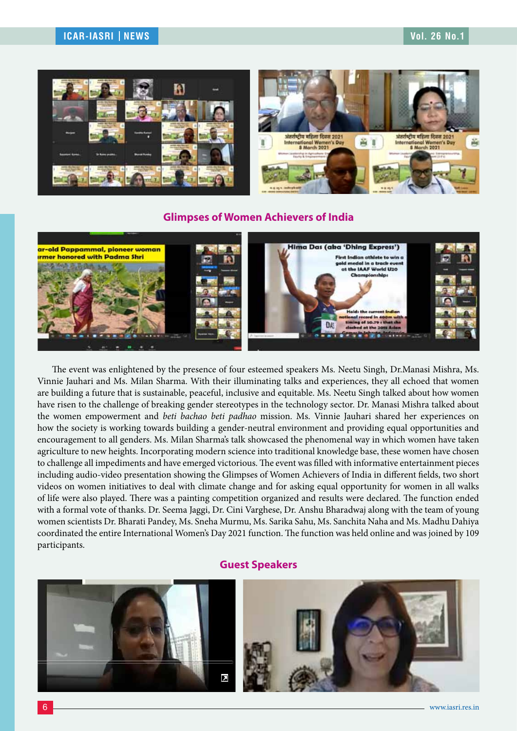

#### **Glimpses of Women Achievers of India**



The event was enlightened by the presence of four esteemed speakers Ms. Neetu Singh, Dr.Manasi Mishra, Ms. Vinnie Jauhari and Ms. Milan Sharma. With their illuminating talks and experiences, they all echoed that women are building a future that is sustainable, peaceful, inclusive and equitable. Ms. Neetu Singh talked about how women have risen to the challenge of breaking gender stereotypes in the technology sector. Dr. Manasi Mishra talked about the women empowerment and *beti bachao beti padhao* mission. Ms. Vinnie Jauhari shared her experiences on how the society is working towards building a gender-neutral environment and providing equal opportunities and encouragement to all genders. Ms. Milan Sharma's talk showcased the phenomenal way in which women have taken agriculture to new heights. Incorporating modern science into traditional knowledge base, these women have chosen to challenge all impediments and have emerged victorious. The event was filled with informative entertainment pieces including audio-video presentation showing the Glimpses of Women Achievers of India in different fields, two short videos on women initiatives to deal with climate change and for asking equal opportunity for women in all walks of life were also played. There was a painting competition organized and results were declared. The function ended with a formal vote of thanks. Dr. Seema Jaggi, Dr. Cini Varghese, Dr. Anshu Bharadwaj along with the team of young women scientists Dr. Bharati Pandey, Ms. Sneha Murmu, Ms. Sarika Sahu, Ms. Sanchita Naha and Ms. Madhu Dahiya coordinated the entire International Women's Day 2021 function. The function was held online and was joined by 109 participants.

#### **Guest Speakers**

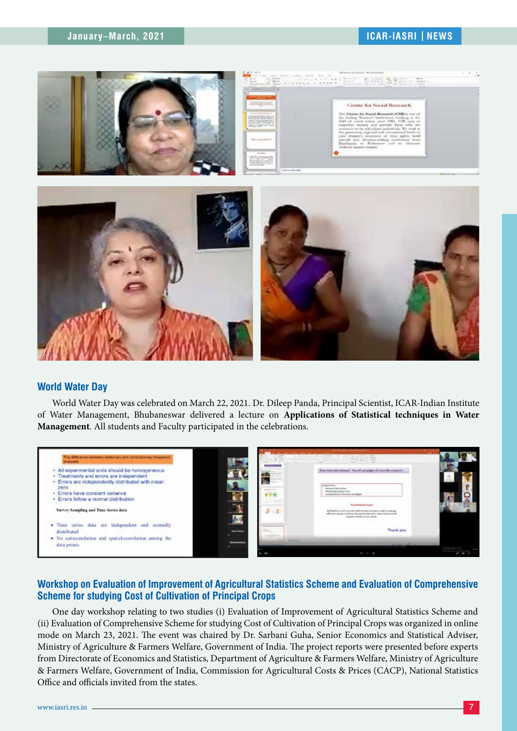

#### **World Water Day**

World Water Day was celebrated on March 22, 2021. Dr. Dileep Panda, Principal Scientist, ICAR-Indian Institute of Water Management, Bhubaneswar delivered a lecture on **Applications of Statistical techniques in Water Management**. All students and Faculty participated in the celebrations.



#### **Workshop on Evaluation of Improvement of Agricultural Statistics Scheme and Evaluation of Comprehensive Scheme for studying Cost of Cultivation of Principal Crops**

One day workshop relating to two studies (i) Evaluation of Improvement of Agricultural Statistics Scheme and (ii) Evaluation of Comprehensive Scheme for studying Cost of Cultivation of Principal Crops was organized in online mode on March 23, 2021. The event was chaired by Dr. Sarbani Guha, Senior Economics and Statistical Adviser, Ministry of Agriculture & Farmers Welfare, Government of India. The project reports were presented before experts from Directorate of Economics and Statistics, Department of Agriculture & Farmers Welfare, Ministry of Agriculture & Farmers Welfare, Government of India, Commission for Agricultural Costs & Prices (CACP), National Statistics Office and officials invited from the states.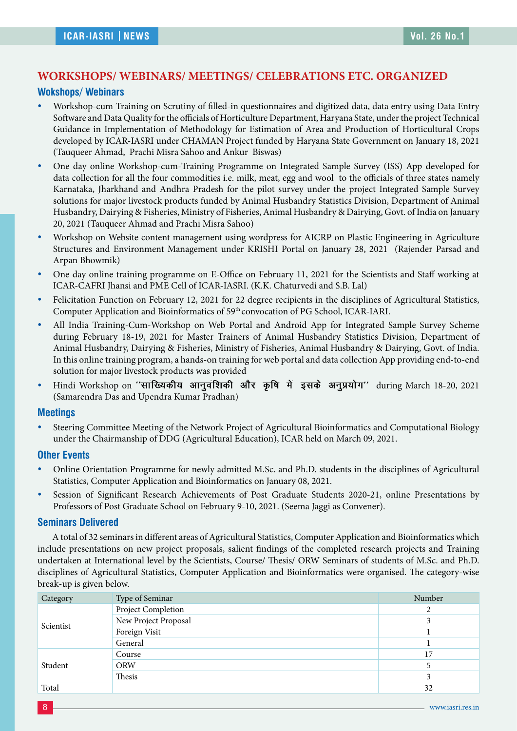#### **WORKSHOPS/ WEBINARS/ MEETINGS/ CELEBRATIONS ETC. ORGANIZED**

#### **Wokshops/ Webinars**

- y Workshop-cum Training on Scrutiny of filled-in questionnaires and digitized data, data entry using Data Entry Software and Data Quality for the officials of Horticulture Department, Haryana State, under the project Technical Guidance in Implementation of Methodology for Estimation of Area and Production of Horticultural Crops developed by ICAR-IASRI under CHAMAN Project funded by Haryana State Government on January 18, 2021 (Tauqueer Ahmad, Prachi Misra Sahoo and Ankur Biswas)
- One day online Workshop-cum-Training Programme on Integrated Sample Survey (ISS) App developed for data collection for all the four commodities i.e. milk, meat, egg and wool to the officials of three states namely Karnataka, Jharkhand and Andhra Pradesh for the pilot survey under the project Integrated Sample Survey solutions for major livestock products funded by Animal Husbandry Statistics Division, Department of Animal Husbandry, Dairying & Fisheries, Ministry of Fisheries, Animal Husbandry & Dairying, Govt. of India on January 20, 2021 (Tauqueer Ahmad and Prachi Misra Sahoo)
- Workshop on Website content management using wordpress for AICRP on Plastic Engineering in Agriculture Structures and Environment Management under KRISHI Portal on January 28, 2021 (Rajender Parsad and Arpan Bhowmik)
- One day online training programme on E-Office on February 11, 2021 for the Scientists and Staff working at ICAR-CAFRI Jhansi and PME Cell of ICAR-IASRI. (K.K. Chaturvedi and S.B. Lal)
- Felicitation Function on February 12, 2021 for 22 degree recipients in the disciplines of Agricultural Statistics, Computer Application and Bioinformatics of 59th convocation of PG School, ICAR-IARI.
- All India Training-Cum-Workshop on Web Portal and Android App for Integrated Sample Survey Scheme during February 18-19, 2021 for Master Trainers of Animal Husbandry Statistics Division, Department of Animal Husbandry, Dairying & Fisheries, Ministry of Fisheries, Animal Husbandry & Dairying, Govt. of India. In this online training program, a hands-on training for web portal and data collection App providing end-to-end solution for major livestock products was provided
- Hindi Workshop on "सांख्यिकीय आनुवंशिकी और कृषि में इसके अनुप्रयोग" during March 18-20, 2021 (Samarendra Das and Upendra Kumar Pradhan)

#### **Meetings**

y Steering Committee Meeting of the Network Project of Agricultural Bioinformatics and Computational Biology under the Chairmanship of DDG (Agricultural Education), ICAR held on March 09, 2021.

#### **Other Events**

- Online Orientation Programme for newly admitted M.Sc. and Ph.D. students in the disciplines of Agricultural Statistics, Computer Application and Bioinformatics on January 08, 2021.
- Session of Significant Research Achievements of Post Graduate Students 2020-21, online Presentations by Professors of Post Graduate School on February 9-10, 2021. (Seema Jaggi as Convener).

#### **Seminars Delivered**

A total of 32 seminars in different areas of Agricultural Statistics, Computer Application and Bioinformatics which include presentations on new project proposals, salient findings of the completed research projects and Training undertaken at International level by the Scientists, Course/ Thesis/ ORW Seminars of students of M.Sc. and Ph.D. disciplines of Agricultural Statistics, Computer Application and Bioinformatics were organised. The category-wise break-up is given below.

| Category  | Type of Seminar      | Number |
|-----------|----------------------|--------|
| Scientist | Project Completion   | 2      |
|           | New Project Proposal |        |
|           | Foreign Visit        |        |
|           | General              |        |
| Student   | Course               | 17     |
|           | <b>ORW</b>           |        |
|           | Thesis               | 3      |
| Total     |                      | 32     |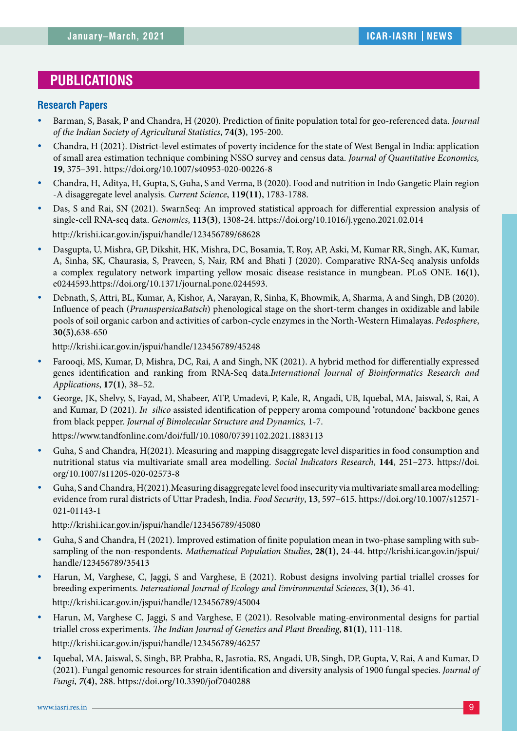## **PUBLICATIONS**

#### **Research Papers**

- y Barman, S, Basak, P and Chandra, H (2020). Prediction of finite population total for geo-referenced data. *Journal of the Indian Society of Agricultural Statistics*, **74(3)**, 195-200.
- Chandra, H (2021). District-level estimates of poverty incidence for the state of West Bengal in India: application of small area estimation technique combining NSSO survey and census data. *Journal of Quantitative Economics,*  **19**, 375–391. https://doi.org/10.1007/s40953-020-00226-8
- Chandra, H, Aditya, H, Gupta, S, Guha, S and Verma, B (2020). Food and nutrition in Indo Gangetic Plain region -A disaggregate level analysis. *Current Science*, **119(11)**, 1783-1788.
- y Das, S and Rai, SN (2021). SwarnSeq: An improved statistical approach for differential expression analysis of single-cell RNA-seq data. *Genomics*, **113(3)**, 1308-24. https://doi.org/10.1016/j.ygeno.2021.02.014 http://krishi.icar.gov.in/jspui/handle/123456789/68628
- y Dasgupta, U, Mishra, GP, Dikshit, HK, Mishra, DC, Bosamia, T, Roy, AP, Aski, M, Kumar RR, Singh, AK, Kumar, A, Sinha, SK, Chaurasia, S, Praveen, S, Nair, RM and Bhati J (2020). Comparative RNA-Seq analysis unfolds a complex regulatory network imparting yellow mosaic disease resistance in mungbean. PLoS ONE. **16(1)**, e0244593.https://doi.org/10.1371/journal.pone.0244593.
- y Debnath, S, Attri, BL, Kumar, A, Kishor, A, Narayan, R, Sinha, K, Bhowmik, A, Sharma, A and Singh, DB (2020). Influence of peach (*PrunuspersicaBatsch*) phenological stage on the short-term changes in oxidizable and labile pools of soil organic carbon and activities of carbon-cycle enzymes in the North-Western Himalayas. *Pedosphere*, **30(5)**,638-650

http://krishi.icar.gov.in/jspui/handle/123456789/45248

- y Farooqi, MS, Kumar, D, Mishra, DC, Rai, A and Singh, NK (2021). A hybrid method for differentially expressed genes identification and ranking from RNA-Seq data.*International Journal of Bioinformatics Research and Applications*, **17(1)**, 38–52.
- y George, JK, Shelvy, S, Fayad, M, Shabeer, ATP, Umadevi, P, Kale, R, Angadi, UB, Iquebal, MA, Jaiswal, S, Rai, A and Kumar, D (2021). *In silico* assisted identification of peppery aroma compound 'rotundone' backbone genes from black pepper. *Journal of Bimolecular Structure and Dynamics,* 1-7.

https://www.tandfonline.com/doi/full/10.1080/07391102.2021.1883113

- y Guha, S and Chandra, H(2021). Measuring and mapping disaggregate level disparities in food consumption and nutritional status via multivariate small area modelling. *Social Indicators Research*, **144**, 251–273. https://doi. org/10.1007/s11205-020-02573-8
- Guha, S and Chandra, H(2021).Measuring disaggregate level food insecurity via multivariate small area modelling: evidence from rural districts of Uttar Pradesh, India. *Food Security*, **13**, 597–615. https://doi.org/10.1007/s12571- 021-01143-1

http://krishi.icar.gov.in/jspui/handle/123456789/45080

- y Guha, S and Chandra, H (2021). Improved estimation of finite population mean in two-phase sampling with subsampling of the non-respondents*. Mathematical Population Studies*, **28(1)**, 24-44. http://krishi.icar.gov.in/jspui/ handle/123456789/35413
- Harun, M, Varghese, C, Jaggi, S and Varghese, E (2021). Robust designs involving partial triallel crosses for breeding experiments. *International Journal of Ecology and Environmental Sciences*, **3(1)**, 36-41. http://krishi.icar.gov.in/jspui/handle/123456789/45004
- y Harun, M, Varghese C, Jaggi, S and Varghese, E (2021). Resolvable mating-environmental designs for partial triallel cross experiments. *The Indian Journal of Genetics and Plant Breeding*, **81(1)**, 111-118. http://krishi.icar.gov.in/jspui/handle/123456789/46257
- Iquebal, MA, Jaiswal, S, Singh, BP, Prabha, R, Jasrotia, RS, Angadi, UB, Singh, DP, Gupta, V, Rai, A and Kumar, D (2021). Fungal genomic resources for strain identification and diversity analysis of 1900 fungal species. *Journal of Fungi*, *7***(4)**, 288. https://doi.org/10.3390/jof7040288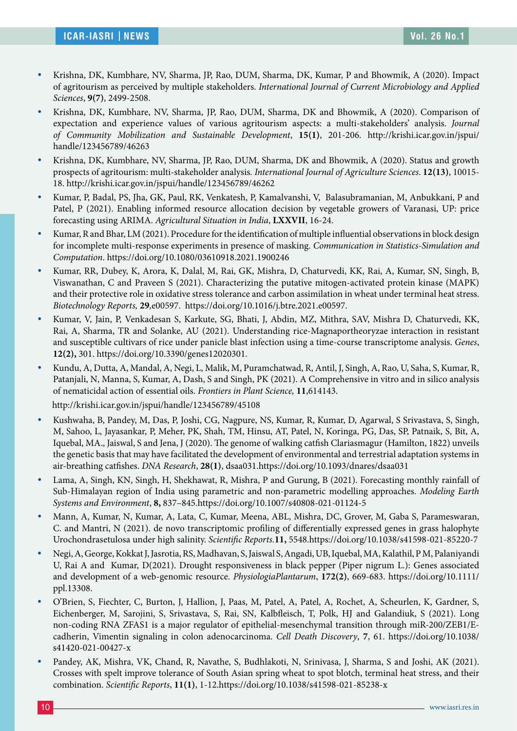- y Krishna, DK, Kumbhare, NV, Sharma, JP, Rao, DUM, Sharma, DK, Kumar, P and Bhowmik, A (2020). Impact of agritourism as perceived by multiple stakeholders. *International Journal of Current Microbiology and Applied Sciences*, **9(7)**, 2499-2508.
- y Krishna, DK, Kumbhare, NV, Sharma, JP, Rao, DUM, Sharma, DK and Bhowmik, A (2020). Comparison of expectation and experience values of various agritourism aspects: a multi-stakeholders' analysis. *Journal of Community Mobilization and Sustainable Development*, **15(1)**, 201-206. http://krishi.icar.gov.in/jspui/ handle/123456789/46263
- y Krishna, DK, Kumbhare, NV, Sharma, JP, Rao, DUM, Sharma, DK and Bhowmik, A (2020). Status and growth prospects of agritourism: multi-stakeholder analysis*. International Journal of Agriculture Sciences*. **12(13)**, 10015- 18. http://krishi.icar.gov.in/jspui/handle/123456789/46262
- y Kumar, P, Badal, PS, Jha, GK, Paul, RK, Venkatesh, P, Kamalvanshi, V, Balasubramanian, M, Anbukkani, P and Patel, P (2021). Enabling informed resource allocation decision by vegetable growers of Varanasi, UP: price forecasting using ARIMA. *Agricultural Situation in India*, **LXXVII**, 16-24.
- y Kumar, R and Bhar, LM (2021). Procedure for the identification of multiple influential observations in block design for incomplete multi-response experiments in presence of masking. *Communication in Statistics-Simulation and Computation*. https://doi.org/10.1080/03610918.2021.1900246
- Kumar, RR, Dubey, K, Arora, K, Dalal, M, Rai, GK, Mishra, D, Chaturvedi, KK, Rai, A, Kumar, SN, Singh, B, Viswanathan, C and Praveen S (2021). Characterizing the putative mitogen-activated protein kinase (MAPK) and their protective role in oxidative stress tolerance and carbon assimilation in wheat under terminal heat stress. *Biotechnology Reports,* **29***,*e00597. https://doi.org/10.1016/j.btre.2021.e00597.
- Kumar, V, Jain, P, Venkadesan S, Karkute, SG, Bhati, J, Abdin, MZ, Mithra, SAV, Mishra D, Chaturvedi, KK, Rai, A, Sharma, TR and Solanke, AU (2021). Understanding rice-Magnaportheoryzae interaction in resistant and susceptible cultivars of rice under panicle blast infection using a time-course transcriptome analysis. *Genes*, **12(2),** 301. https://doi.org/10.3390/genes12020301.
- Kundu, A, Dutta, A, Mandal, A, Negi, L, Malik, M, Puramchatwad, R, Antil, J, Singh, A, Rao, U, Saha, S, Kumar, R, Patanjali, N, Manna, S, Kumar, A, Dash, S and Singh, PK (2021). A Comprehensive in vitro and in silico analysis of nematicidal action of essential oils. *Frontiers in Plant Science,* **11**,614143.

http://krishi.icar.gov.in/jspui/handle/123456789/45108

- y Kushwaha, B, Pandey, M, Das, P, Joshi, CG, Nagpure, NS, Kumar, R, Kumar, D, Agarwal, S Srivastava, S, Singh, M, Sahoo, L, Jayasankar, P, Meher, PK, Shah, TM, Hinsu, AT, Patel, N, Koringa, PG, Das, SP, Patnaik, S, Bit, A, Iquebal, MA., Jaiswal, S and Jena, J (2020). The genome of walking catfish Clariasmagur (Hamilton, 1822) unveils the genetic basis that may have facilitated the development of environmental and terrestrial adaptation systems in air-breathing catfishes. *DNA Research*, **28(1)**, dsaa031.https://doi.org/10.1093/dnares/dsaa031
- Lama, A, Singh, KN, Singh, H, Shekhawat, R, Mishra, P and Gurung, B (2021). Forecasting monthly rainfall of Sub-Himalayan region of India using parametric and non-parametric modelling approaches. *Modeling Earth Systems and Environment*, **8,** 837–845.https://doi.org/10.1007/s40808-021-01124-5
- Mann, A, Kumar, N, Kumar, A, Lata, C, Kumar, Meena, ABL, Mishra, DC, Grover, M, Gaba S, Parameswaran, C. and Mantri, N (2021). de novo transcriptomic profiling of differentially expressed genes in grass halophyte Urochondrasetulosa under high salinity. *Scientific Reports.***11,** 5548.https://doi.org/10.1038/s41598-021-85220-7
- y Negi, A, George, Kokkat J, Jasrotia, RS, Madhavan, S, Jaiswal S, Angadi, UB, Iquebal, MA, Kalathil, P M, Palaniyandi U, Rai A and Kumar, D(2021). Drought responsiveness in black pepper (Piper nigrum L.): Genes associated and development of a web-genomic resource. *PhysiologiaPlantarum*, **172(2)**, 669-683. https://doi.org/10.1111/ ppl.13308.
- y O'Brien, S, Fiechter, C, Burton, J, Hallion, J, Paas, M, Patel, A, Patel, A, Rochet, A, Scheurlen, K, Gardner, S, Eichenberger, M, Sarojini, S, Srivastava, S, Rai, SN, Kalbfleisch, T, Polk, HJ and Galandiuk, S (2021). Long non-coding RNA ZFAS1 is a major regulator of epithelial-mesenchymal transition through miR-200/ZEB1/Ecadherin, Vimentin signaling in colon adenocarcinoma. *Cell Death Discovery*, **7**, 61. https://doi.org/10.1038/ s41420-021-00427-x
- y Pandey, AK, Mishra, VK, Chand, R, Navathe, S, Budhlakoti, N, Srinivasa, J, Sharma, S and Joshi, AK (2021). Crosses with spelt improve tolerance of South Asian spring wheat to spot blotch, terminal heat stress, and their combination. *Scientific Reports*, **11(1)**, 1-12.https://doi.org/10.1038/s41598-021-85238-x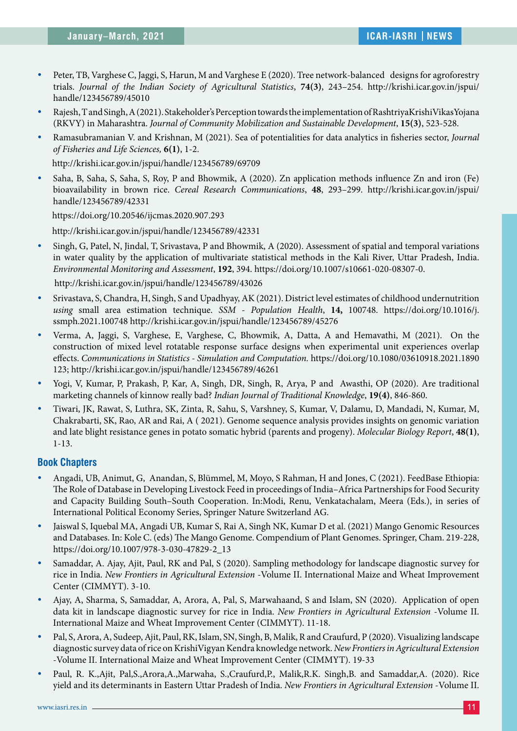- y Peter, TB, Varghese C, Jaggi, S, Harun, M and Varghese E (2020). Tree network-balanced designs for agroforestry trials. *Journal of the Indian Society of Agricultural Statistics*, **74(3)**, 243–254. http://krishi.icar.gov.in/jspui/ handle/123456789/45010
- y Rajesh, T and Singh, A (2021). Stakeholder's Perception towards the implementation of RashtriyaKrishiVikasYojana (RKVY) in Maharashtra. *Journal of Community Mobilization and Sustainable Development*, **15(3)**, 523-528.
- y Ramasubramanian V. and Krishnan, M (2021). Sea of potentialities for data analytics in fisheries sector, *Journal of Fisheries and Life Sciences,* **6(1)**, 1-2.

http://krishi.icar.gov.in/jspui/handle/123456789/69709

Saha, B, Saha, S, Saha, S, Roy, P and Bhowmik, A (2020). Zn application methods influence Zn and iron (Fe) bioavailability in brown rice. *Cereal Research Communications*, **48**, 293–299. http://krishi.icar.gov.in/jspui/ handle/123456789/42331

https://doi.org/10.20546/ijcmas.2020.907.293

http://krishi.icar.gov.in/jspui/handle/123456789/42331

Singh, G, Patel, N, Jindal, T, Srivastava, P and Bhowmik, A (2020). Assessment of spatial and temporal variations in water quality by the application of multivariate statistical methods in the Kali River, Uttar Pradesh, India. *Environmental Monitoring and Assessment*, **192**, 394. https://doi.org/10.1007/s10661-020-08307-0.

http://krishi.icar.gov.in/jspui/handle/123456789/43026

- y Srivastava, S, Chandra, H, Singh, S and Upadhyay, AK (2021). District level estimates of childhood undernutrition *using* small area estimation technique. *SSM - Population Health*, **14,** 100748. https://doi.org/10.1016/j. ssmph.2021.100748 http://krishi.icar.gov.in/jspui/handle/123456789/45276
- y Verma, A, Jaggi, S, Varghese, E, Varghese, C, Bhowmik, A, Datta, A and Hemavathi, M (2021). On the construction of mixed level rotatable response surface designs when experimental unit experiences overlap effects. *Communications in Statistics - Simulation and Computation.* https://doi.org/10.1080/03610918.2021.1890 123; http://krishi.icar.gov.in/jspui/handle/123456789/46261
- y Yogi, V, Kumar, P, Prakash, P, Kar, A, Singh, DR, Singh, R, Arya, P and Awasthi, OP (2020). Are traditional marketing channels of kinnow really bad? *Indian Journal of Traditional Knowledge*, **19(4)**, 846-860.
- y Tiwari, JK, Rawat, S, Luthra, SK, Zinta, R, Sahu, S, Varshney, S, Kumar, V, Dalamu, D, Mandadi, N, Kumar, M, Chakrabarti, SK, Rao, AR and Rai, A ( 2021). Genome sequence analysis provides insights on genomic variation and late blight resistance genes in potato somatic hybrid (parents and progeny). *Molecular Biology Report*, **48(1)**, 1-13.

#### **Book Chapters**

- y Angadi, UB, Animut, G, Anandan, S, Blümmel, M, Moyo, S Rahman, H and Jones, C (2021). FeedBase Ethiopia: The Role of Database in Developing Livestock Feed in proceedings of India–Africa Partnerships for Food Security and Capacity Building South–South Cooperation. In:Modi, Renu, Venkatachalam, Meera (Eds.), in series of International Political Economy Series, Springer Nature Switzerland AG.
- Jaiswal S, Iquebal MA, Angadi UB, Kumar S, Rai A, Singh NK, Kumar D et al. (2021) Mango Genomic Resources and Databases. In: Kole C. (eds) The Mango Genome. Compendium of Plant Genomes. Springer, Cham. 219-228, https://doi.org/10.1007/978-3-030-47829-2\_13
- Samaddar, A. Ajay, Ajit, Paul, RK and Pal, S (2020). Sampling methodology for landscape diagnostic survey for rice in India. *New Frontiers in Agricultural Extension* -Volume II. International Maize and Wheat Improvement Center (CIMMYT). 3-10.
- y Ajay, A, Sharma, S, Samaddar, A, Arora, A, Pal, S, Marwahaand, S and Islam, SN (2020). Application of open data kit in landscape diagnostic survey for rice in India. *New Frontiers in Agricultural Extension* -Volume II. International Maize and Wheat Improvement Center (CIMMYT). 11-18.
- y Pal, S, Arora, A, Sudeep, Ajit, Paul, RK, Islam, SN, Singh, B, Malik, R and Craufurd, P (2020). Visualizing landscape diagnostic survey data of rice on KrishiVigyan Kendra knowledge network. *New Frontiers in Agricultural Extension* -Volume II. International Maize and Wheat Improvement Center (CIMMYT). 19-33
- Paul, R. K.,Ajit, Pal,S.,Arora,A.,Marwaha, S.,Craufurd,P., Malik,R.K. Singh,B. and Samaddar,A. (2020). Rice yield and its determinants in Eastern Uttar Pradesh of India. *New Frontiers in Agricultural Extension* -Volume II.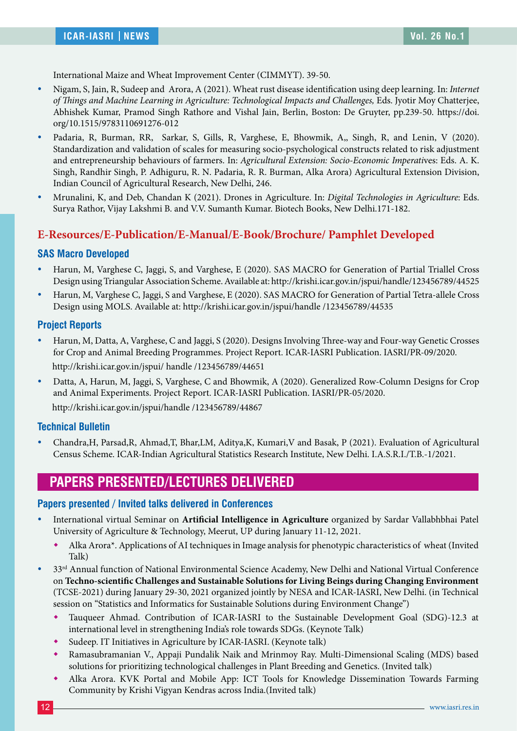International Maize and Wheat Improvement Center (CIMMYT). 39-50.

- y Nigam, S, Jain, R, Sudeep and Arora, A (2021). Wheat rust disease identification using deep learning. In: *Internet of Things and Machine Learning in Agriculture: Technological Impacts and Challenges,* Eds. Jyotir Moy Chatterjee, Abhishek Kumar, Pramod Singh Rathore and Vishal Jain, Berlin, Boston: De Gruyter, pp.239-50. https://doi. org/10.1515/9783110691276-012
- y Padaria, R, Burman, RR, Sarkar, S, Gills, R, Varghese, E, Bhowmik, A,, Singh, R, and Lenin, V (2020). Standardization and validation of scales for measuring socio-psychological constructs related to risk adjustment and entrepreneurship behaviours of farmers. In: *Agricultural Extension: Socio-Economic Imperati*ves: Eds. A. K. Singh, Randhir Singh, P. Adhiguru, R. N. Padaria, R. R. Burman, Alka Arora) Agricultural Extension Division, Indian Council of Agricultural Research, New Delhi, 246.
- y Mrunalini, K, and Deb, Chandan K (2021). Drones in Agriculture. In: *Digital Technologies in Agriculture*: Eds. Surya Rathor, Vijay Lakshmi B. and V.V. Sumanth Kumar. Biotech Books, New Delhi.171-182.

#### **E-Resources/E-Publication/E-Manual/E-Book/Brochure/ Pamphlet Developed**

#### **SAS Macro Developed**

- y Harun, M, Varghese C, Jaggi, S, and Varghese, E (2020). SAS MACRO for Generation of Partial Triallel Cross Design using Triangular Association Scheme. Available at: http://krishi.icar.gov.in/jspui/handle/123456789/44525
- y Harun, M, Varghese C, Jaggi, S and Varghese, E (2020). SAS MACRO for Generation of Partial Tetra-allele Cross Design using MOLS. Available at: http://krishi.icar.gov.in/jspui/handle /123456789/44535

#### **Project Reports**

- Harun, M, Datta, A, Varghese, C and Jaggi, S (2020). Designs Involving Three-way and Four-way Genetic Crosses for Crop and Animal Breeding Programmes. Project Report. ICAR-IASRI Publication. IASRI/PR-09/2020. http://krishi.icar.gov.in/jspui/ handle /123456789/44651
- y Datta, A, Harun, M, Jaggi, S, Varghese, C and Bhowmik, A (2020). Generalized Row-Column Designs for Crop and Animal Experiments. Project Report. ICAR-IASRI Publication. IASRI/PR-05/2020. http://krishi.icar.gov.in/jspui/handle /123456789/44867

#### **Technical Bulletin**

y Chandra,H, Parsad,R, Ahmad,T, Bhar,LM, Aditya,K, Kumari,V and Basak, P (2021). Evaluation of Agricultural Census Scheme. ICAR-Indian Agricultural Statistics Research Institute, New Delhi. I.A.S.R.I./T.B.-1/2021.

## **PAPERS PRESENTED/LECTURES DELIVERED**

#### **Papers presented / Invited talks delivered in Conferences**

- International virtual Seminar on Artificial Intelligence in Agriculture organized by Sardar Vallabhbhai Patel University of Agriculture & Technology, Meerut, UP during January 11-12, 2021.
	- Alka Arora\*. Applications of AI techniques in Image analysis for phenotypic characteristics of wheat (Invited Talk)
- <sup>•</sup> 33<sup>rd</sup> Annual function of National Environmental Science Academy, New Delhi and National Virtual Conference on **Techno-scientific Challenges and Sustainable Solutions for Living Beings during Changing Environment** (TCSE-2021) during January 29-30, 2021 organized jointly by NESA and ICAR-IASRI, New Delhi. (in Technical session on "Statistics and Informatics for Sustainable Solutions during Environment Change")
	- Tauqueer Ahmad. Contribution of ICAR-IASRI to the Sustainable Development Goal (SDG)-12.3 at international level in strengthening India's role towards SDGs. (Keynote Talk)
	- Sudeep. IT Initiatives in Agriculture by ICAR-IASRI. (Keynote talk)
	- Ramasubramanian V., Appaji Pundalik Naik and Mrinmoy Ray. Multi-Dimensional Scaling (MDS) based solutions for prioritizing technological challenges in Plant Breeding and Genetics. (Invited talk)
	- Alka Arora. KVK Portal and Mobile App: ICT Tools for Knowledge Dissemination Towards Farming Community by Krishi Vigyan Kendras across India.(Invited talk)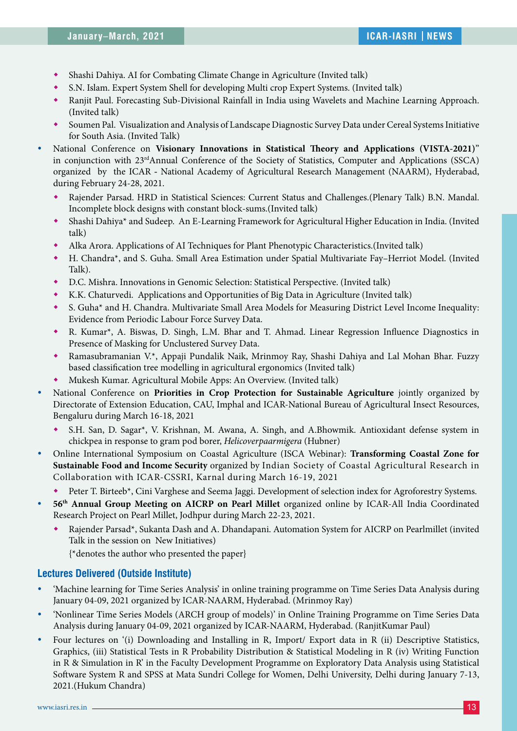- Shashi Dahiya. AI for Combating Climate Change in Agriculture (Invited talk)
- S.N. Islam. Expert System Shell for developing Multi crop Expert Systems. (Invited talk)
- Ranjit Paul. Forecasting Sub-Divisional Rainfall in India using Wavelets and Machine Learning Approach. (Invited talk)
- Soumen Pal. Visualization and Analysis of Landscape Diagnostic Survey Data under Cereal Systems Initiative for South Asia. (Invited Talk)
- National Conference on Visionary Innovations in Statistical Theory and Applications (VISTA-2021)" in conjunction with 23<sup>rd</sup>Annual Conference of the Society of Statistics, Computer and Applications (SSCA) organized by the ICAR **-** National Academy of Agricultural Research Management (NAARM), Hyderabad, during February 24-28, 2021.
	- Rajender Parsad. HRD in Statistical Sciences: Current Status and Challenges.(Plenary Talk) B.N. Mandal. Incomplete block designs with constant block-sums.(Invited talk)
	- Shashi Dahiya\* and Sudeep. An E-Learning Framework for Agricultural Higher Education in India. (Invited talk)
	- Alka Arora. Applications of AI Techniques for Plant Phenotypic Characteristics.(Invited talk)
	- H. Chandra\*, and S. Guha. Small Area Estimation under Spatial Multivariate Fay–Herriot Model. (Invited Talk).
	- D.C. Mishra. Innovations in Genomic Selection: Statistical Perspective. (Invited talk)
	- K.K. Chaturvedi. Applications and Opportunities of Big Data in Agriculture (Invited talk)
	- S. Guha\* and H. Chandra. Multivariate Small Area Models for Measuring District Level Income Inequality: Evidence from Periodic Labour Force Survey Data.
	- R. Kumar\*, A. Biswas, D. Singh, L.M. Bhar and T. Ahmad. Linear Regression Influence Diagnostics in Presence of Masking for Unclustered Survey Data.
	- Ramasubramanian V.\*, Appaji Pundalik Naik, Mrinmoy Ray, Shashi Dahiya and Lal Mohan Bhar. Fuzzy based classification tree modelling in agricultural ergonomics (Invited talk)
	- Mukesh Kumar. Agricultural Mobile Apps: An Overview. (Invited talk)
- National Conference on **Priorities in Crop Protection for Sustainable Agriculture** jointly organized by Directorate of Extension Education, CAU, Imphal and ICAR-National Bureau of Agricultural Insect Resources, Bengaluru during March 16-18, 2021
	- S.H. San, D. Sagar\*, V. Krishnan, M. Awana, A. Singh, and A.Bhowmik. Antioxidant defense system in chickpea in response to gram pod borer, *Helicoverpaarmigera* (Hubner)
- Online International Symposium on Coastal Agriculture (ISCA Webinar): **Transforming Coastal Zone for Sustainable Food and Income Security** organized by Indian Society of Coastal Agricultural Research in Collaboration with ICAR-CSSRI, Karnal during March 16-19, 2021
	- Peter T. Birteeb\*, Cini Varghese and Seema Jaggi. Development of selection index for Agroforestry Systems.
- y **56th Annual Group Meeting on AICRP on Pearl Millet** organized online by ICAR-All India Coordinated Research Project on Pearl Millet, Jodhpur during March 22-23, 2021.
	- Rajender Parsad\*, Sukanta Dash and A. Dhandapani. Automation System for AICRP on Pearlmillet (invited Talk in the session on New Initiatives)

{\*denotes the author who presented the paper}

#### **Lectures Delivered (Outside Institute)**

- <sup>•</sup> 'Machine learning for Time Series Analysis' in online training programme on Time Series Data Analysis during January 04-09, 2021 organized by ICAR-NAARM, Hyderabad. (Mrinmoy Ray)
- 'Nonlinear Time Series Models (ARCH group of models)' in Online Training Programme on Time Series Data Analysis during January 04-09, 2021 organized by ICAR-NAARM, Hyderabad. (RanjitKumar Paul)
- y Four lectures on '(i) Downloading and Installing in R, Import/ Export data in R (ii) Descriptive Statistics, Graphics, (iii) Statistical Tests in R Probability Distribution & Statistical Modeling in R (iv) Writing Function in R & Simulation in R' in the Faculty Development Programme on Exploratory Data Analysis using Statistical Software System R and SPSS at Mata Sundri College for Women, Delhi University, Delhi during January 7-13, 2021.(Hukum Chandra)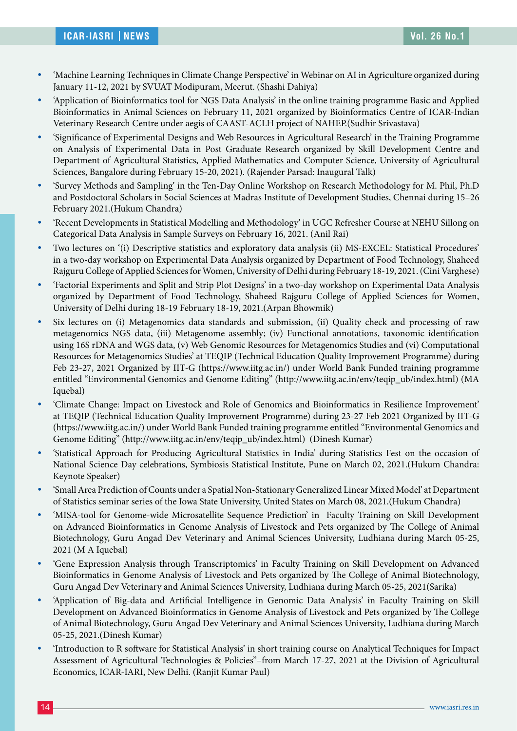- <sup>•</sup> 'Machine Learning Techniques in Climate Change Perspective' in Webinar on AI in Agriculture organized during January 11-12, 2021 by SVUAT Modipuram, Meerut. (Shashi Dahiya)
- 'Application of Bioinformatics tool for NGS Data Analysis' in the online training programme Basic and Applied Bioinformatics in Animal Sciences on February 11, 2021 organized by Bioinformatics Centre of ICAR-Indian Veterinary Research Centre under aegis of CAAST-ACLH project of NAHEP.(Sudhir Srivastava)
- y 'Significance of Experimental Designs and Web Resources in Agricultural Research' in the Training Programme on Analysis of Experimental Data in Post Graduate Research organized by Skill Development Centre and Department of Agricultural Statistics, Applied Mathematics and Computer Science, University of Agricultural Sciences, Bangalore during February 15-20, 2021). (Rajender Parsad: Inaugural Talk)
- y 'Survey Methods and Sampling' in the Ten-Day Online Workshop on Research Methodology for M. Phil, Ph.D and Postdoctoral Scholars in Social Sciences at Madras Institute of Development Studies, Chennai during 15–26 February 2021.(Hukum Chandra)
- 'Recent Developments in Statistical Modelling and Methodology' in UGC Refresher Course at NEHU Sillong on Categorical Data Analysis in Sample Surveys on February 16, 2021. (Anil Rai)
- y Two lectures on '(i) Descriptive statistics and exploratory data analysis (ii) MS-EXCEL: Statistical Procedures' in a two-day workshop on Experimental Data Analysis organized by Department of Food Technology, Shaheed Rajguru College of Applied Sciences for Women, University of Delhi during February 18-19, 2021. (Cini Varghese)
- 'Factorial Experiments and Split and Strip Plot Designs' in a two-day workshop on Experimental Data Analysis organized by Department of Food Technology, Shaheed Rajguru College of Applied Sciences for Women, University of Delhi during 18-19 February 18-19, 2021.(Arpan Bhowmik)
- Six lectures on (i) Metagenomics data standards and submission, (ii) Quality check and processing of raw metagenomics NGS data, (iii) Metagenome assembly; (iv) Functional annotations, taxonomic identification using 16S rDNA and WGS data, (v) Web Genomic Resources for Metagenomics Studies and (vi) Computational Resources for Metagenomics Studies' at TEQIP (Technical Education Quality Improvement Programme) during Feb 23-27, 2021 Organized by IIT-G (https://www.iitg.ac.in/) under World Bank Funded training programme entitled "Environmental Genomics and Genome Editing" (http://www.iitg.ac.in/env/teqip\_ub/index.html) (MA Iquebal)
- y 'Climate Change: Impact on Livestock and Role of Genomics and Bioinformatics in Resilience Improvement' at TEQIP (Technical Education Quality Improvement Programme) during 23-27 Feb 2021 Organized by IIT-G (https://www.iitg.ac.in/) under World Bank Funded training programme entitled "Environmental Genomics and Genome Editing" (http://www.iitg.ac.in/env/teqip\_ub/index.html) (Dinesh Kumar)
- y 'Statistical Approach for Producing Agricultural Statistics in India' during Statistics Fest on the occasion of National Science Day celebrations, Symbiosis Statistical Institute, Pune on March 02, 2021.(Hukum Chandra: Keynote Speaker)
- y 'Small Area Prediction of Counts under a Spatial Non-Stationary Generalized Linear Mixed Model' at Department of Statistics seminar series of the Iowa State University, United States on March 08, 2021.(Hukum Chandra)
- 'MISA-tool for Genome-wide Microsatellite Sequence Prediction' in Faculty Training on Skill Development on Advanced Bioinformatics in Genome Analysis of Livestock and Pets organized by The College of Animal Biotechnology, Guru Angad Dev Veterinary and Animal Sciences University, Ludhiana during March 05-25, 2021 (M A Iquebal)
- y 'Gene Expression Analysis through Transcriptomics' in Faculty Training on Skill Development on Advanced Bioinformatics in Genome Analysis of Livestock and Pets organized by The College of Animal Biotechnology, Guru Angad Dev Veterinary and Animal Sciences University, Ludhiana during March 05-25, 2021(Sarika)
- 'Application of Big-data and Artificial Intelligence in Genomic Data Analysis' in Faculty Training on Skill Development on Advanced Bioinformatics in Genome Analysis of Livestock and Pets organized by The College of Animal Biotechnology, Guru Angad Dev Veterinary and Animal Sciences University, Ludhiana during March 05-25, 2021.(Dinesh Kumar)
- y 'Introduction to R software for Statistical Analysis' in short training course on Analytical Techniques for Impact Assessment of Agricultural Technologies & Policies"–from March 17-27, 2021 at the Division of Agricultural Economics, ICAR-IARI, New Delhi. (Ranjit Kumar Paul)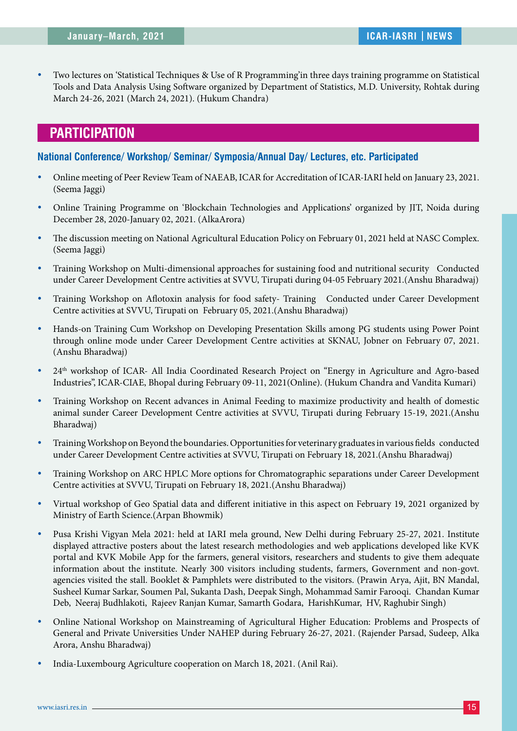y Two lectures on 'Statistical Techniques & Use of R Programming'in three days training programme on Statistical Tools and Data Analysis Using Software organized by Department of Statistics, M.D. University, Rohtak during March 24-26, 2021 (March 24, 2021). (Hukum Chandra)

## **PARTICIPATION**

**National Conference/ Workshop/ Seminar/ Symposia/Annual Day/ Lectures, etc. Participated**

- Online meeting of Peer Review Team of NAEAB, ICAR for Accreditation of ICAR-IARI held on January 23, 2021. (Seema Jaggi)
- Online Training Programme on 'Blockchain Technologies and Applications' organized by JIT, Noida during December 28, 2020-January 02, 2021. (AlkaArora)
- The discussion meeting on National Agricultural Education Policy on February 01, 2021 held at NASC Complex. (Seema Jaggi)
- Training Workshop on Multi-dimensional approaches for sustaining food and nutritional security Conducted under Career Development Centre activities at SVVU, Tirupati during 04-05 February 2021.(Anshu Bharadwaj)
- Training Workshop on Aflotoxin analysis for food safety- Training Conducted under Career Development Centre activities at SVVU, Tirupati on February 05, 2021.(Anshu Bharadwaj)
- y Hands-on Training Cum Workshop on Developing Presentation Skills among PG students using Power Point through online mode under Career Development Centre activities at SKNAU, Jobner on February 07, 2021. (Anshu Bharadwaj)
- <sup>•</sup> 24<sup>th</sup> workshop of ICAR- All India Coordinated Research Project on "Energy in Agriculture and Agro-based Industries", ICAR-CIAE, Bhopal during February 09-11, 2021(Online). (Hukum Chandra and Vandita Kumari)
- Training Workshop on Recent advances in Animal Feeding to maximize productivity and health of domestic animal sunder Career Development Centre activities at SVVU, Tirupati during February 15-19, 2021.(Anshu Bharadwaj)
- y Training Workshop on Beyond the boundaries. Opportunities for veterinary graduates in various fields conducted under Career Development Centre activities at SVVU, Tirupati on February 18, 2021.(Anshu Bharadwaj)
- y Training Workshop on ARC HPLC More options for Chromatographic separations under Career Development Centre activities at SVVU, Tirupati on February 18, 2021.(Anshu Bharadwaj)
- Virtual workshop of Geo Spatial data and different initiative in this aspect on February 19, 2021 organized by Ministry of Earth Science.(Arpan Bhowmik)
- Pusa Krishi Vigyan Mela 2021: held at IARI mela ground, New Delhi during February 25-27, 2021. Institute displayed attractive posters about the latest research methodologies and web applications developed like KVK portal and KVK Mobile App for the farmers, general visitors, researchers and students to give them adequate information about the institute. Nearly 300 visitors including students, farmers, Government and non-govt. agencies visited the stall. Booklet & Pamphlets were distributed to the visitors. (Prawin Arya, Ajit, BN Mandal, Susheel Kumar Sarkar, Soumen Pal, Sukanta Dash, Deepak Singh, Mohammad Samir Farooqi. Chandan Kumar Deb, Neeraj Budhlakoti, Rajeev Ranjan Kumar, Samarth Godara, HarishKumar, HV, Raghubir Singh)
- Online National Workshop on Mainstreaming of Agricultural Higher Education: Problems and Prospects of General and Private Universities Under NAHEP during February 26-27, 2021. (Rajender Parsad, Sudeep, Alka Arora, Anshu Bharadwaj)
- India-Luxembourg Agriculture cooperation on March 18, 2021. (Anil Rai).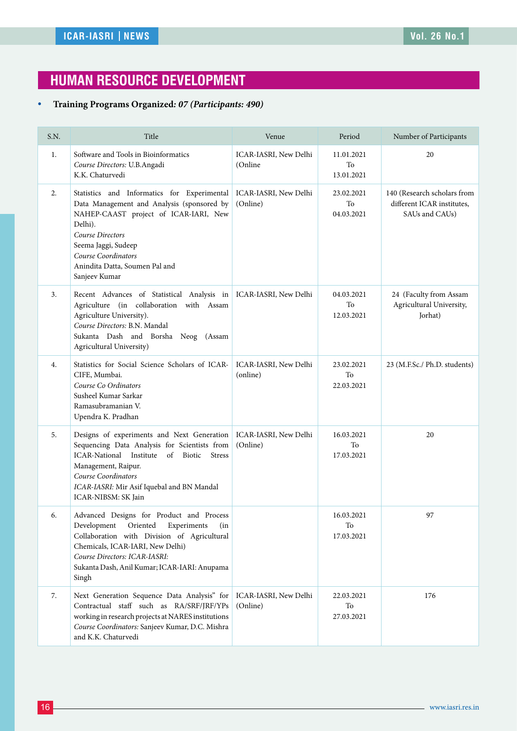## **HUMAN RESOURCE DEVELOPMENT**

#### y **Training Programs Organized***: 07 (Participants: 490)*

| S.N. | Title                                                                                                                                                                                                                                                                     | Venue                                    | Period                         | Number of Participants                                                      |
|------|---------------------------------------------------------------------------------------------------------------------------------------------------------------------------------------------------------------------------------------------------------------------------|------------------------------------------|--------------------------------|-----------------------------------------------------------------------------|
| 1.   | Software and Tools in Bioinformatics<br>Course Directors: U.B.Angadi<br>K.K. Chaturvedi                                                                                                                                                                                   | ICAR-IASRI, New Delhi<br>(Online)        | 11.01.2021<br>To<br>13.01.2021 | 20                                                                          |
| 2.   | Statistics and Informatics for Experimental<br>Data Management and Analysis (sponsored by<br>NAHEP-CAAST project of ICAR-IARI, New<br>Delhi).<br>Course Directors<br>Seema Jaggi, Sudeep<br>Course Coordinators<br>Anindita Datta, Soumen Pal and<br>Sanjeev Kumar        | ICAR-IASRI, New Delhi<br>(Online)        | 23.02.2021<br>To<br>04.03.2021 | 140 (Research scholars from<br>different ICAR institutes,<br>SAUs and CAUs) |
| 3.   | Recent Advances of Statistical Analysis in ICAR-IASRI, New Delhi<br>Agriculture (in collaboration with Assam<br>Agriculture University).<br>Course Directors: B.N. Mandal<br>Sukanta Dash and Borsha Neog (Assam<br>Agricultural University)                              |                                          | 04.03.2021<br>To<br>12.03.2021 | 24 (Faculty from Assam<br>Agricultural University,<br>Jorhat)               |
| 4.   | Statistics for Social Science Scholars of ICAR-<br>CIFE, Mumbai.<br>Course Co Ordinators<br>Susheel Kumar Sarkar<br>Ramasubramanian V.<br>Upendra K. Pradhan                                                                                                              | <b>ICAR-IASRI, New Delhi</b><br>(online) | 23.02.2021<br>To<br>22.03.2021 | 23 (M.F.Sc./ Ph.D. students)                                                |
| 5.   | Designs of experiments and Next Generation<br>Sequencing Data Analysis for Scientists from<br>ICAR-National Institute<br>of<br>Biotic<br><b>Stress</b><br>Management, Raipur.<br>Course Coordinators<br>ICAR-IASRI: Mir Asif Iquebal and BN Mandal<br>ICAR-NIBSM: SK Jain | ICAR-IASRI, New Delhi<br>(Online)        | 16.03.2021<br>To<br>17.03.2021 | 20                                                                          |
| 6.   | Advanced Designs for Product and Process<br>Development<br>Oriented<br>Experiments<br>(in<br>Collaboration with Division of Agricultural<br>Chemicals, ICAR-IARI, New Delhi)<br>Course Directors: ICAR-IASRI:<br>Sukanta Dash, Anil Kumar; ICAR-IARI: Anupama<br>Singh    |                                          | 16.03.2021<br>To<br>17.03.2021 | 97                                                                          |
| 7.   | Next Generation Sequence Data Analysis" for<br>Contractual staff such as RA/SRF/JRF/YPs<br>working in research projects at NARES institutions<br>Course Coordinators: Sanjeev Kumar, D.C. Mishra<br>and K.K. Chaturvedi                                                   | ICAR-IASRI, New Delhi<br>(Online)        | 22.03.2021<br>To<br>27.03.2021 | 176                                                                         |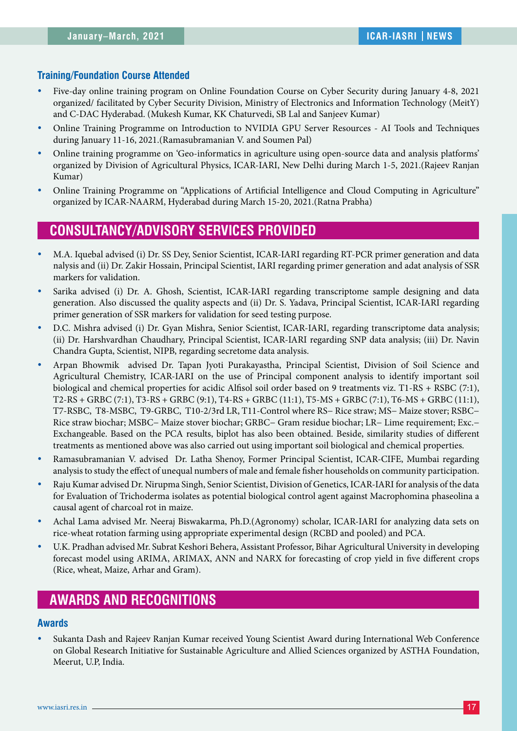#### **Training/Foundation Course Attended**

- Five-day online training program on Online Foundation Course on Cyber Security during January 4-8, 2021 organized/ facilitated by Cyber Security Division, Ministry of Electronics and Information Technology (MeitY) and C-DAC Hyderabad. (Mukesh Kumar, KK Chaturvedi, SB Lal and Sanjeev Kumar)
- Online Training Programme on Introduction to NVIDIA GPU Server Resources AI Tools and Techniques during January 11-16, 2021.(Ramasubramanian V. and Soumen Pal)
- Online training programme on 'Geo-informatics in agriculture using open-source data and analysis platforms' organized by Division of Agricultural Physics, ICAR-IARI, New Delhi during March 1-5, 2021.(Rajeev Ranjan Kumar)
- y Online Training Programme on "Applications of Artificial Intelligence and Cloud Computing in Agriculture" organized by ICAR-NAARM, Hyderabad during March 15-20, 2021.(Ratna Prabha)

## **CONSULTANCY/ADVISORY SERVICES PROVIDED**

- y M.A. Iquebal advised (i) Dr. SS Dey, Senior Scientist, ICAR-IARI regarding RT-PCR primer generation and data nalysis and (ii) Dr. Zakir Hossain, Principal Scientist, IARI regarding primer generation and adat analysis of SSR markers for validation.
- Sarika advised (i) Dr. A. Ghosh, Scientist, ICAR-IARI regarding transcriptome sample designing and data generation. Also discussed the quality aspects and (ii) Dr. S. Yadava, Principal Scientist, ICAR-IARI regarding primer generation of SSR markers for validation for seed testing purpose.
- y D.C. Mishra advised (i) Dr. Gyan Mishra, Senior Scientist, ICAR-IARI, regarding transcriptome data analysis; (ii) Dr. Harshvardhan Chaudhary, Principal Scientist, ICAR-IARI regarding SNP data analysis; (iii) Dr. Navin Chandra Gupta, Scientist, NIPB, regarding secretome data analysis.
- y Arpan Bhowmik advised Dr. Tapan Jyoti Purakayastha, Principal Scientist, Division of Soil Science and Agricultural Chemistry, ICAR-IARI on the use of Principal component analysis to identify important soil biological and chemical properties for acidic Alfisol soil order based on 9 treatments viz. T1-RS + RSBC (7:1), T2-RS + GRBC (7:1), T3-RS + GRBC (9:1), T4-RS + GRBC (11:1), T5-MS + GRBC (7:1), T6-MS + GRBC (11:1), T7-RSBC, T8-MSBC, T9-GRBC, T10-2/3rd LR, T11-Control where RS− Rice straw; MS− Maize stover; RSBC− Rice straw biochar; MSBC− Maize stover biochar; GRBC− Gram residue biochar; LR− Lime requirement; Exc.− Exchangeable. Based on the PCA results, biplot has also been obtained. Beside, similarity studies of different treatments as mentioned above was also carried out using important soil biological and chemical properties.
- Ramasubramanian V. advised Dr. Latha Shenoy, Former Principal Scientist, ICAR-CIFE, Mumbai regarding analysis to study the effect of unequal numbers of male and female fisher households on community participation.
- y Raju Kumar advised Dr. Nirupma Singh, Senior Scientist, Division of Genetics, ICAR-IARI for analysis of the data for Evaluation of Trichoderma isolates as potential biological control agent against Macrophomina phaseolina a causal agent of charcoal rot in maize.
- Achal Lama advised Mr. Neeraj Biswakarma, Ph.D.(Agronomy) scholar, ICAR-IARI for analyzing data sets on rice-wheat rotation farming using appropriate experimental design (RCBD and pooled) and PCA.
- y U.K. Pradhan advised Mr. Subrat Keshori Behera, Assistant Professor, Bihar Agricultural University in developing forecast model using ARIMA, ARIMAX, ANN and NARX for forecasting of crop yield in five different crops (Rice, wheat, Maize, Arhar and Gram).

## **AWARDS AND RECOGNITIONS**

#### **Awards**

Sukanta Dash and Rajeev Ranjan Kumar received Young Scientist Award during International Web Conference on Global Research Initiative for Sustainable Agriculture and Allied Sciences organized by ASTHA Foundation, Meerut, U.P, India.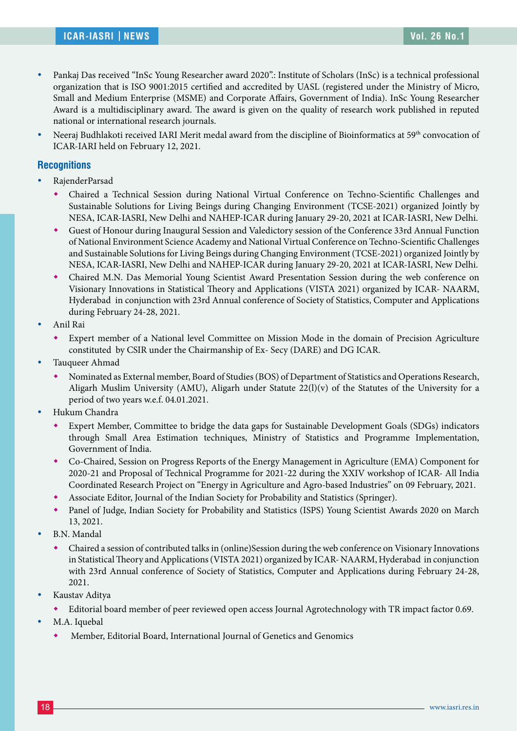- y Pankaj Das received "InSc Young Researcher award 2020".: Institute of Scholars (InSc) is a technical professional organization that is ISO 9001:2015 certified and accredited by UASL (registered under the Ministry of Micro, Small and Medium Enterprise (MSME) and Corporate Affairs, Government of India). InSc Young Researcher Award is a multidisciplinary award. The award is given on the quality of research work published in reputed national or international research journals.
- Neeraj Budhlakoti received IARI Merit medal award from the discipline of Bioinformatics at 59<sup>th</sup> convocation of ICAR-IARI held on February 12, 2021.

#### **Recognitions**

- RajenderParsad
	- Chaired a Technical Session during National Virtual Conference on Techno-Scientific Challenges and Sustainable Solutions for Living Beings during Changing Environment (TCSE-2021) organized Jointly by NESA, ICAR-IASRI, New Delhi and NAHEP-ICAR during January 29-20, 2021 at ICAR-IASRI, New Delhi.
	- Guest of Honour during Inaugural Session and Valedictory session of the Conference 33rd Annual Function of National Environment Science Academy and National Virtual Conference on Techno-Scientific Challenges and Sustainable Solutions for Living Beings during Changing Environment (TCSE-2021) organized Jointly by NESA, ICAR-IASRI, New Delhi and NAHEP-ICAR during January 29-20, 2021 at ICAR-IASRI, New Delhi.
	- Chaired M.N. Das Memorial Young Scientist Award Presentation Session during the web conference on Visionary Innovations in Statistical Theory and Applications (VISTA 2021) organized by ICAR- NAARM, Hyderabad in conjunction with 23rd Annual conference of Society of Statistics, Computer and Applications during February 24-28, 2021.
- y Anil Rai
	- Expert member of a National level Committee on Mission Mode in the domain of Precision Agriculture constituted by CSIR under the Chairmanship of Ex- Secy (DARE) and DG ICAR.
- Tauqueer Ahmad
	- Nominated as External member, Board of Studies (BOS) of Department of Statistics and Operations Research, Aligarh Muslim University (AMU), Aligarh under Statute  $22(1)(v)$  of the Statutes of the University for a period of two years w.e.f. 04.01.2021.
- Hukum Chandra
	- Expert Member, Committee to bridge the data gaps for Sustainable Development Goals (SDGs) indicators through Small Area Estimation techniques, Ministry of Statistics and Programme Implementation, Government of India.
	- Co-Chaired, Session on Progress Reports of the Energy Management in Agriculture (EMA) Component for 2020-21 and Proposal of Technical Programme for 2021-22 during the XXIV workshop of ICAR- All India Coordinated Research Project on "Energy in Agriculture and Agro-based Industries" on 09 February, 2021.
	- Associate Editor, Journal of the Indian Society for Probability and Statistics (Springer).
	- Panel of Judge, Indian Society for Probability and Statistics (ISPS) Young Scientist Awards 2020 on March 13, 2021.
- B.N. Mandal
	- Chaired a session of contributed talks in (online)Session during the web conference on Visionary Innovations in Statistical Theory and Applications (VISTA 2021) organized by ICAR- NAARM, Hyderabad in conjunction with 23rd Annual conference of Society of Statistics, Computer and Applications during February 24-28, 2021.
- Kaustav Aditva
	- Editorial board member of peer reviewed open access Journal Agrotechnology with TR impact factor 0.69.
- M.A. Iquebal
	- Member, Editorial Board, International Journal of Genetics and Genomics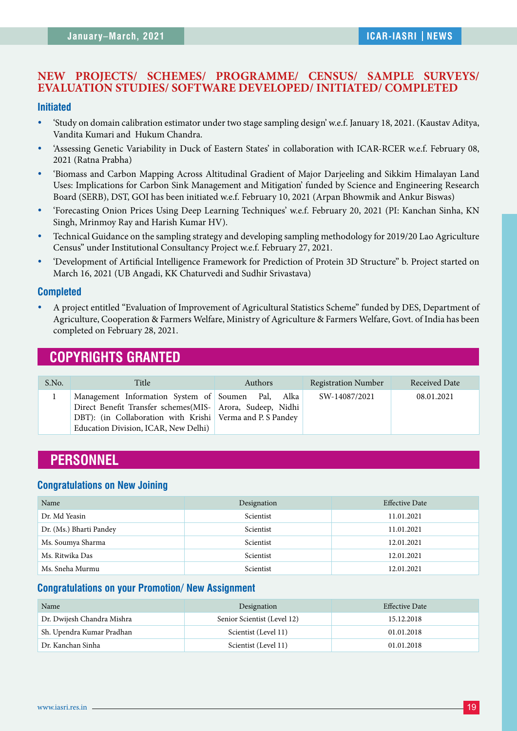#### **NEW PROJECTS/ SCHEMES/ PROGRAMME/ CENSUS/ SAMPLE SURVEYS/ EVALUATION STUDIES/ SOFTWARE DEVELOPED/ INITIATED/ COMPLETED**

#### **Initiated**

- y 'Study on domain calibration estimator under two stage sampling design' w.e.f. January 18, 2021. (Kaustav Aditya, Vandita Kumari and Hukum Chandra.
- y 'Assessing Genetic Variability in Duck of Eastern States' in collaboration with ICAR-RCER w.e.f. February 08, 2021 (Ratna Prabha)
- y 'Biomass and Carbon Mapping Across Altitudinal Gradient of Major Darjeeling and Sikkim Himalayan Land Uses: Implications for Carbon Sink Management and Mitigation' funded by Science and Engineering Research Board (SERB), DST, GOI has been initiated w.e.f. February 10, 2021 (Arpan Bhowmik and Ankur Biswas)
- <sup>•</sup> 'Forecasting Onion Prices Using Deep Learning Techniques' w.e.f. February 20, 2021 (PI: Kanchan Sinha, KN Singh, Mrinmoy Ray and Harish Kumar HV).
- Technical Guidance on the sampling strategy and developing sampling methodology for 2019/20 Lao Agriculture Census" under Institutional Consultancy Project w.e.f. February 27, 2021.
- <sup>•</sup> 'Development of Artificial Intelligence Framework for Prediction of Protein 3D Structure" b. Project started on March 16, 2021 (UB Angadi, KK Chaturvedi and Sudhir Srivastava)

#### **Completed**

y A project entitled "Evaluation of Improvement of Agricultural Statistics Scheme" funded by DES, Department of Agriculture, Cooperation & Farmers Welfare, Ministry of Agriculture & Farmers Welfare, Govt. of India has been completed on February 28, 2021.

## **COPYRIGHTS GRANTED**

| S.No. | Title                                                                                                                                                                                                                     | Authors | <b>Registration Number</b> | Received Date |
|-------|---------------------------------------------------------------------------------------------------------------------------------------------------------------------------------------------------------------------------|---------|----------------------------|---------------|
|       | Management Information System of Soumen Pal, Alka<br>Direct Benefit Transfer schemes(MIS-   Arora, Sudeep, Nidhi  <br>DBT): (in Collaboration with Krishi   Verma and P. S Pandey<br>Education Division, ICAR, New Delhi) |         | SW-14087/2021              | 08.01.2021    |

## **PERSONNEL**

#### **Congratulations on New Joining**

| Name                    | Designation | <b>Effective Date</b> |
|-------------------------|-------------|-----------------------|
| Dr. Md Yeasin           | Scientist   | 11.01.2021            |
| Dr. (Ms.) Bharti Pandey | Scientist   | 11.01.2021            |
| Ms. Soumya Sharma       | Scientist   | 12.01.2021            |
| Ms. Ritwika Das         | Scientist   | 12.01.2021            |
| Ms. Sneha Murmu         | Scientist   | 12.01.2021            |

#### **Congratulations on your Promotion/ New Assignment**

| Name                       | Designation                 | <b>Effective Date</b> |
|----------------------------|-----------------------------|-----------------------|
| Dr. Dwijesh Chandra Mishra | Senior Scientist (Level 12) | 15.12.2018            |
| Sh. Upendra Kumar Pradhan  | Scientist (Level 11)        | 01.01.2018            |
| Dr. Kanchan Sinha          | Scientist (Level 11)        | 01.01.2018            |